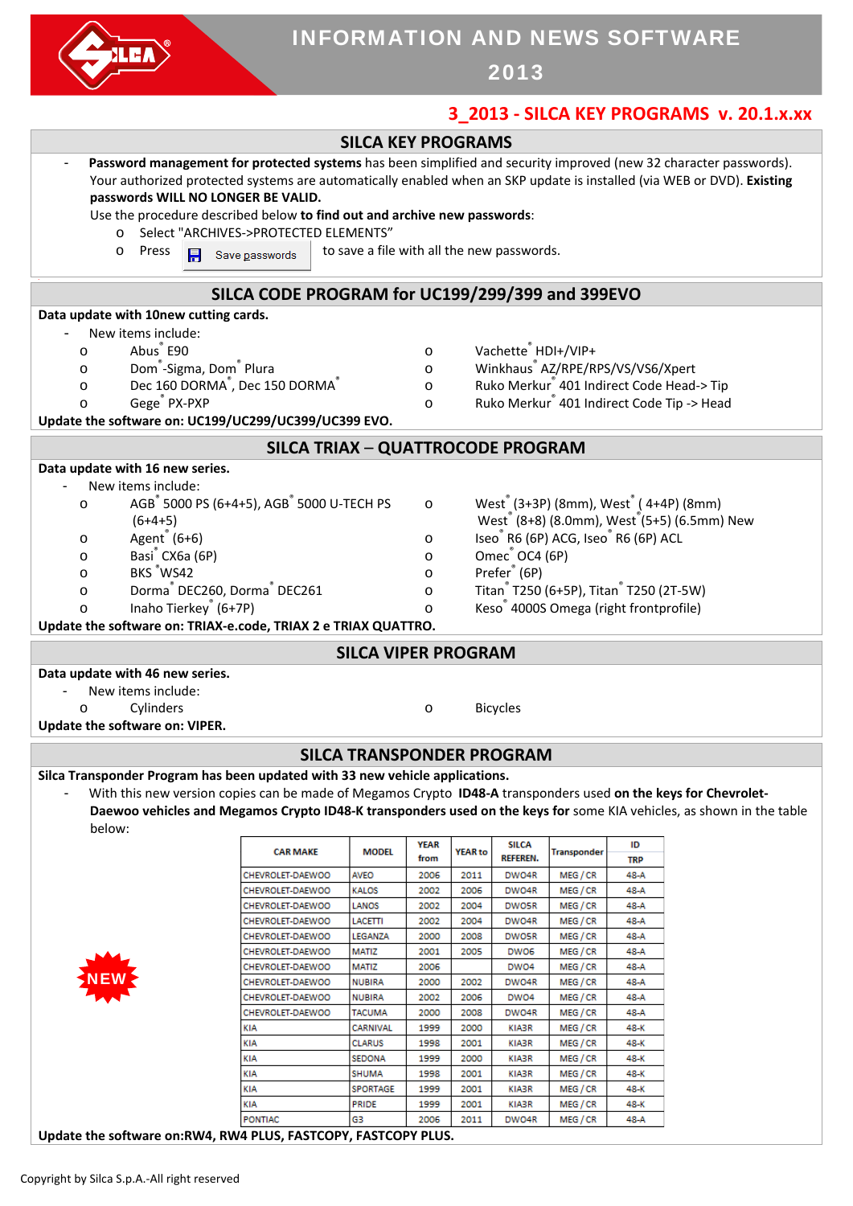

# INFORMATION AND NEWS SOFTWARE

2013

# **3\_2013 ‐ SILCA KEY PROGRAMS v. 20.1.x.xx**

| <b>SILCA KEY PROGRAMS</b>                                                                                              |                                      |                                                                |              |                                                                 |                                                                      |                    |              |  |  |
|------------------------------------------------------------------------------------------------------------------------|--------------------------------------|----------------------------------------------------------------|--------------|-----------------------------------------------------------------|----------------------------------------------------------------------|--------------------|--------------|--|--|
|                                                                                                                        |                                      |                                                                |              |                                                                 |                                                                      |                    |              |  |  |
| Password management for protected systems has been simplified and security improved (new 32 character passwords).      |                                      |                                                                |              |                                                                 |                                                                      |                    |              |  |  |
| Your authorized protected systems are automatically enabled when an SKP update is installed (via WEB or DVD). Existing |                                      |                                                                |              |                                                                 |                                                                      |                    |              |  |  |
| passwords WILL NO LONGER BE VALID.                                                                                     |                                      |                                                                |              |                                                                 |                                                                      |                    |              |  |  |
| Use the procedure described below to find out and archive new passwords:                                               |                                      |                                                                |              |                                                                 |                                                                      |                    |              |  |  |
| Select "ARCHIVES->PROTECTED ELEMENTS"<br>$\circ$                                                                       |                                      |                                                                |              |                                                                 |                                                                      |                    |              |  |  |
| to save a file with all the new passwords.<br>Press<br>$\circ$<br><b>F</b> Save passwords                              |                                      |                                                                |              |                                                                 |                                                                      |                    |              |  |  |
|                                                                                                                        |                                      |                                                                |              |                                                                 |                                                                      |                    |              |  |  |
| SILCA CODE PROGRAM for UC199/299/399 and 399EVO                                                                        |                                      |                                                                |              |                                                                 |                                                                      |                    |              |  |  |
| Data update with 10new cutting cards.                                                                                  |                                      |                                                                |              |                                                                 |                                                                      |                    |              |  |  |
| New items include:                                                                                                     |                                      |                                                                |              |                                                                 |                                                                      |                    |              |  |  |
| Abus E90<br>$\circ$                                                                                                    |                                      |                                                                | $\circ$      |                                                                 | Vachette HDI+/VIP+                                                   |                    |              |  |  |
| Dom <sup>®</sup> -Sigma, Dom® Plura<br>$\circ$                                                                         |                                      |                                                                |              | Winkhaus AZ/RPE/RPS/VS/VS6/Xpert                                |                                                                      |                    |              |  |  |
| Dec 160 DORMA®, Dec 150 DORMA®<br>$\circ$                                                                              |                                      |                                                                |              | Ruko Merkur <sup>®</sup> 401 Indirect Code Head-> Tip           |                                                                      |                    |              |  |  |
| Gege <sup>®</sup> PX-PXP<br>$\circ$                                                                                    |                                      |                                                                |              | Ruko Merkur® 401 Indirect Code Tip -> Head                      |                                                                      |                    |              |  |  |
| Update the software on: UC199/UC299/UC399/UC399 EVO.                                                                   |                                      |                                                                |              |                                                                 |                                                                      |                    |              |  |  |
| <b>SILCA TRIAX - QUATTROCODE PROGRAM</b>                                                                               |                                      |                                                                |              |                                                                 |                                                                      |                    |              |  |  |
| Data update with 16 new series.                                                                                        |                                      |                                                                |              |                                                                 |                                                                      |                    |              |  |  |
| New items include:                                                                                                     |                                      |                                                                |              |                                                                 |                                                                      |                    |              |  |  |
| AGB 5000 PS (6+4+5), AGB 5000 U-TECH PS<br>$\circ$                                                                     |                                      | West <sup>®</sup> (3+3P) (8mm), West <sup>®</sup> (4+4P) (8mm) |              |                                                                 |                                                                      |                    |              |  |  |
|                                                                                                                        | $(6+4+5)$                            |                                                                |              |                                                                 | West <sup>®</sup> (8+8) (8.0mm), West <sup>®</sup> (5+5) (6.5mm) New |                    |              |  |  |
| Agent <sup>®</sup> (6+6)<br>$\circ$                                                                                    | $\circ$                              | Iseo R6 (6P) ACG, Iseo R6 (6P) ACL                             |              |                                                                 |                                                                      |                    |              |  |  |
| Basi CX6a (6P)<br>$\circ$                                                                                              |                                      |                                                                | $\circ$      |                                                                 | Omec OC4 (6P)                                                        |                    |              |  |  |
| BKS WS42                                                                                                               |                                      |                                                                | $\circ$      |                                                                 | Prefer <sup>®</sup> (6P)                                             |                    |              |  |  |
| $\circ$<br>Dorma <sup>®</sup> DEC260, Dorma <sup>®</sup> DEC261                                                        |                                      |                                                                |              | Titan <sup>®</sup> T250 (6+5P), Titan <sup>®</sup> T250 (2T-5W) |                                                                      |                    |              |  |  |
| $\circ$                                                                                                                | $\circ$                              | Keso <sup>®</sup> 4000S Omega (right frontprofile)             |              |                                                                 |                                                                      |                    |              |  |  |
| Inaho Tierkey (6+7P)<br>$\circ$<br>Update the software on: TRIAX-e.code, TRIAX 2 e TRIAX QUATTRO.                      |                                      |                                                                | $\Omega$     |                                                                 |                                                                      |                    |              |  |  |
|                                                                                                                        |                                      |                                                                |              |                                                                 |                                                                      |                    |              |  |  |
| <b>SILCA VIPER PROGRAM</b>                                                                                             |                                      |                                                                |              |                                                                 |                                                                      |                    |              |  |  |
| Data update with 46 new series.                                                                                        |                                      |                                                                |              |                                                                 |                                                                      |                    |              |  |  |
| New items include:                                                                                                     |                                      |                                                                |              |                                                                 |                                                                      |                    |              |  |  |
| Cylinders<br>$\circ$                                                                                                   |                                      |                                                                |              | <b>Bicycles</b><br>$\circ$                                      |                                                                      |                    |              |  |  |
| Update the software on: VIPER.                                                                                         |                                      |                                                                |              |                                                                 |                                                                      |                    |              |  |  |
| <b>SILCA TRANSPONDER PROGRAM</b>                                                                                       |                                      |                                                                |              |                                                                 |                                                                      |                    |              |  |  |
| Silca Transponder Program has been updated with 33 new vehicle applications.                                           |                                      |                                                                |              |                                                                 |                                                                      |                    |              |  |  |
| With this new version copies can be made of Megamos Crypto ID48-A transponders used on the keys for Chevrolet-         |                                      |                                                                |              |                                                                 |                                                                      |                    |              |  |  |
| Daewoo vehicles and Megamos Crypto ID48-K transponders used on the keys for some KIA vehicles, as shown in the table   |                                      |                                                                |              |                                                                 |                                                                      |                    |              |  |  |
| below:                                                                                                                 |                                      |                                                                |              |                                                                 |                                                                      |                    |              |  |  |
|                                                                                                                        |                                      |                                                                | YEAR         |                                                                 | <b>SILCA</b>                                                         |                    | ID           |  |  |
|                                                                                                                        | <b>CAR MAKE</b>                      | <b>MODEL</b>                                                   | from         | <b>YEAR</b> to                                                  | <b>REFEREN.</b>                                                      | Transponder        | <b>TRP</b>   |  |  |
|                                                                                                                        | CHEVROLET-DAEWOO                     | AVEO                                                           | 2006         | 2011                                                            | DWO4R                                                                | MEG/CR             | 48-A         |  |  |
|                                                                                                                        | CHEVROLET-DAEWOO                     | KALOS                                                          | 2002         | 2006                                                            | DWO4R                                                                | MEG/CR             | 48-A         |  |  |
|                                                                                                                        | CHEVROLET-DAEWOO                     | LANOS                                                          | 2002         | 2004                                                            | DWO5R                                                                | MEG / CR           | 48-A         |  |  |
|                                                                                                                        | CHEVROLET-DAEWOO                     | LACETTI                                                        | 2002         | 2004                                                            | DWO4R                                                                | MEG / CR           | 48-A         |  |  |
|                                                                                                                        | CHEVROLET-DAEWOO                     | LEGANZA                                                        | 2000         | 2008                                                            | DWO5R                                                                | MEG / CR           | 48-A         |  |  |
|                                                                                                                        | CHEVROLET-DAEWOO<br>CHEVROLET-DAEWOO | MATIZ<br>MATIZ                                                 | 2001<br>2006 | 2005                                                            | DWO6<br>DWO4                                                         | MEG / CR<br>MEG/CR | 48-A<br>48-A |  |  |
|                                                                                                                        | CHEVROLET-DAEWOO                     | NUBIRA                                                         | 2000         | 2002                                                            | DWO4R                                                                | MEG / CR           | 48-A         |  |  |
|                                                                                                                        | CHEVROLET-DAEWOO                     | NUBIRA                                                         | 2002         | 2006                                                            | DWO4                                                                 | MEG / CR           | 48-A         |  |  |
|                                                                                                                        | CHEVROLET-DAEWOO                     | TACUMA                                                         | 2000         | 2008                                                            | DWO4R                                                                | MEG/CR             | 48-A         |  |  |
| KIA                                                                                                                    |                                      | CARNIVAL                                                       | 1999         | 2000                                                            | KIA3R                                                                | MEG/CR             | 48-K         |  |  |
| KIA                                                                                                                    |                                      | CLARUS                                                         | 1998         | 2001                                                            | KIA3R                                                                | MEG / CR           | 48-K         |  |  |
| KIA                                                                                                                    |                                      | SEDONA                                                         | 1999         | 2000                                                            | KIA3R                                                                | MEG/CR             | 48-K         |  |  |
| KIA                                                                                                                    |                                      | SHUMA                                                          | 1998         | 2001                                                            | KIA3R                                                                | MEG/CR             | 48-K         |  |  |
| KIA                                                                                                                    |                                      | SPORTAGE                                                       | 1999         | 2001                                                            | KIA3R                                                                | MEG/CR             | 48-K         |  |  |
| KIA                                                                                                                    |                                      | PRIDE                                                          | 1999         | 2001                                                            | KIA3R                                                                | MEG/CR             | 48-K         |  |  |

 $MEG / CR$ 

48-A

 $\frac{\mathsf{KIA}}{\mathsf{PONTIAC}}$ G3 2006 2011 DWO4R **Update the software on:RW4, RW4 PLUS, FASTCOPY, FASTCOPY PLUS.**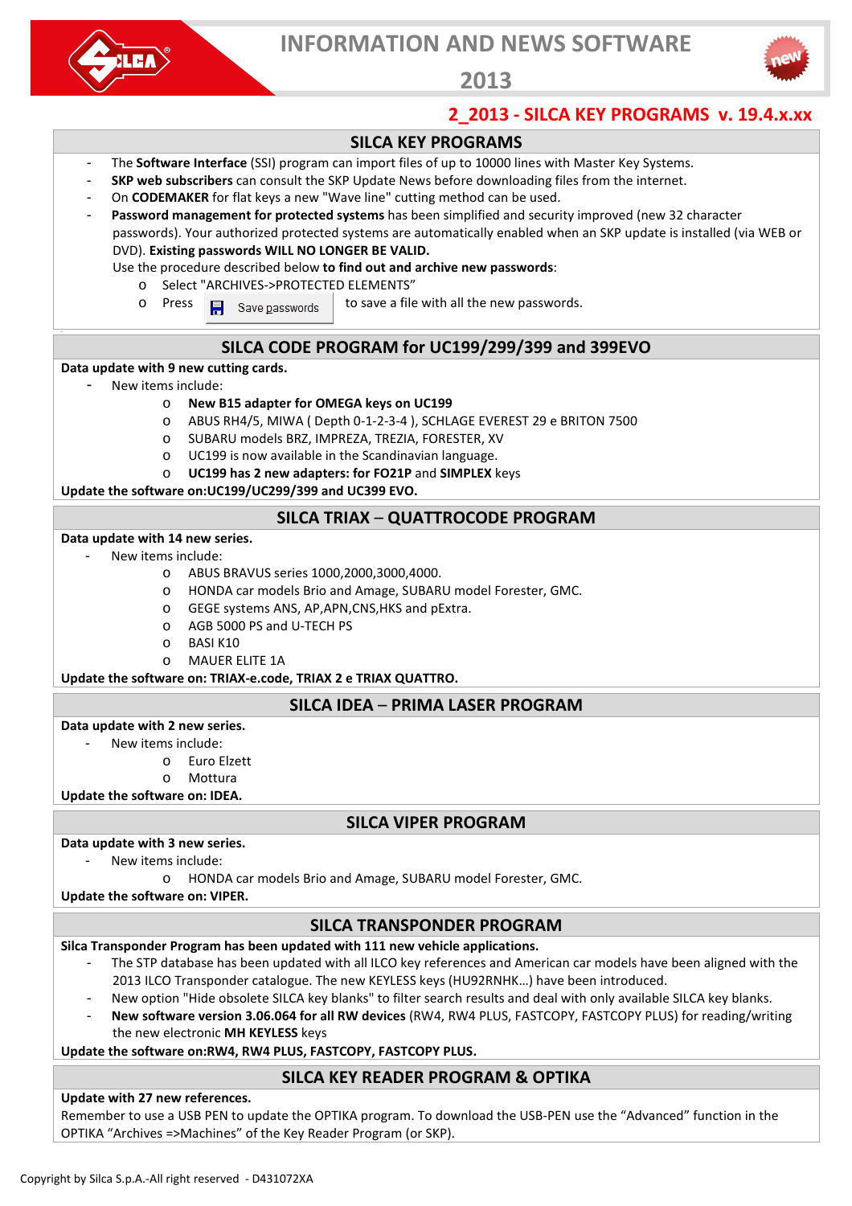

# **INFORMATION AND NEWS SOFTWARE**



# **2013**

# **2\_2013 - SILCA KEY PROGRAMS v. 19.4.x.xx**

# **SILCA KEY PROGRAMS**

- The **Software Interface** (SSI) program can import files of up to 10000 lines with Master Key Systems.
- **SKP web subscribers** can consult the SKP Update News before downloading files from the internet.
- On **CODEMAKER** for flat keys a new "Wave line" cutting method can be used.
- **Password management for protected systems** has been simplified and security improved (new 32 character passwords). Your authorized protected systems are automatically enabled when an SKP update is installed (via WEB or DVD). **Existing passwords WILL NO LONGER BE VALID.**

### Use the procedure described below **to find out and archive new passwords**:

- o Select "ARCHIVES->PROTECTED ELEMENTS"
	-

 $\circ$  Press  $\overline{H}$  Save passwords to save a file with all the new passwords.

# **SILCA CODE PROGRAM for UC199/299/399 and 399EVO**

**Data update with 9 new cutting cards.** 

- New items include:
	- o **New B15 adapter for OMEGA keys on UC199**
	- o ABUS RH4/5, MIWA ( Depth 0-1-2-3-4 ), SCHLAGE EVEREST 29 e BRITON 7500
	- o SUBARU models BRZ, IMPREZA, TREZIA, FORESTER, XV
	- o UC199 is now available in the Scandinavian language.
	- o **UC199 has 2 new adapters: for FO21P** and **SIMPLEX** keys

**Update the software on:UC199/UC299/399 and UC399 EVO.**

# **SILCA TRIAX** – **QUATTROCODE PROGRAM**

### **Data update with 14 new series.**

- New items include:
	- o ABUS BRAVUS series 1000,2000,3000,4000.
	- o HONDA car models Brio and Amage, SUBARU model Forester, GMC.
	- o GEGE systems ANS, AP,APN,CNS,HKS and pExtra.
	- o AGB 5000 PS and U-TECH PS
	- o BASI K10
	- o MAUER ELITE 1A

**Update the software on: TRIAX-e.code, TRIAX 2 e TRIAX QUATTRO.**

### **SILCA IDEA** – **PRIMA LASER PROGRAM**

# **Data update with 2 new series.**

- New items include:
	- o Euro Elzett
	- o Mottura

# **Update the software on: IDEA.**

# **SILCA VIPER PROGRAM**

### **Data update with 3 new series.**

- New items include:
	- o HONDA car models Brio and Amage, SUBARU model Forester, GMC.

**Update the software on: VIPER.**

# **SILCA TRANSPONDER PROGRAM**

### **Silca Transponder Program has been updated with 111 new vehicle applications.**

- The STP database has been updated with all ILCO key references and American car models have been aligned with the 2013 ILCO Transponder catalogue. The new KEYLESS keys (HU92RNHK…) have been introduced.
	- New option "Hide obsolete SILCA key blanks" to filter search results and deal with only available SILCA key blanks.
- **New software version 3.06.064 for all RW devices** (RW4, RW4 PLUS, FASTCOPY, FASTCOPY PLUS) for reading/writing the new electronic **MH KEYLESS** keys

### **Update the software on:RW4, RW4 PLUS, FASTCOPY, FASTCOPY PLUS.**

# **SILCA KEY READER PROGRAM & OPTIKA**

### **Update with 27 new references.**

Remember to use a USB PEN to update the OPTIKA program. To download the USB-PEN use the "Advanced" function in the OPTIKA "Archives =>Machines" of the Key Reader Program (or SKP).